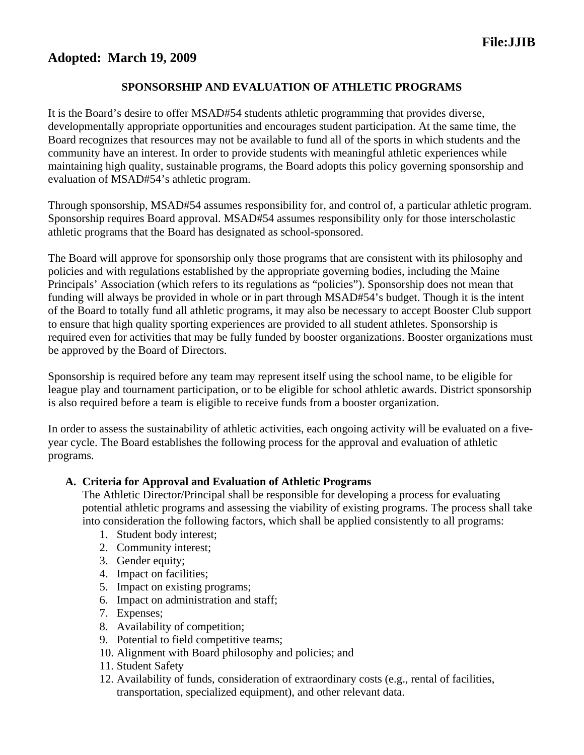## **Adopted: March 19, 2009**

## **SPONSORSHIP AND EVALUATION OF ATHLETIC PROGRAMS**

It is the Board's desire to offer MSAD#54 students athletic programming that provides diverse, developmentally appropriate opportunities and encourages student participation. At the same time, the Board recognizes that resources may not be available to fund all of the sports in which students and the community have an interest. In order to provide students with meaningful athletic experiences while maintaining high quality, sustainable programs, the Board adopts this policy governing sponsorship and evaluation of MSAD#54's athletic program.

Through sponsorship, MSAD#54 assumes responsibility for, and control of, a particular athletic program. Sponsorship requires Board approval. MSAD#54 assumes responsibility only for those interscholastic athletic programs that the Board has designated as school-sponsored.

The Board will approve for sponsorship only those programs that are consistent with its philosophy and policies and with regulations established by the appropriate governing bodies, including the Maine Principals' Association (which refers to its regulations as "policies"). Sponsorship does not mean that funding will always be provided in whole or in part through MSAD#54's budget. Though it is the intent of the Board to totally fund all athletic programs, it may also be necessary to accept Booster Club support to ensure that high quality sporting experiences are provided to all student athletes. Sponsorship is required even for activities that may be fully funded by booster organizations. Booster organizations must be approved by the Board of Directors.

Sponsorship is required before any team may represent itself using the school name, to be eligible for league play and tournament participation, or to be eligible for school athletic awards. District sponsorship is also required before a team is eligible to receive funds from a booster organization.

In order to assess the sustainability of athletic activities, each ongoing activity will be evaluated on a fiveyear cycle. The Board establishes the following process for the approval and evaluation of athletic programs.

#### **A. Criteria for Approval and Evaluation of Athletic Programs**

The Athletic Director/Principal shall be responsible for developing a process for evaluating potential athletic programs and assessing the viability of existing programs. The process shall take into consideration the following factors, which shall be applied consistently to all programs:

- 1. Student body interest;
- 2. Community interest;
- 3. Gender equity;
- 4. Impact on facilities;
- 5. Impact on existing programs;
- 6. Impact on administration and staff;
- 7. Expenses;
- 8. Availability of competition;
- 9. Potential to field competitive teams;
- 10. Alignment with Board philosophy and policies; and
- 11. Student Safety
- 12. Availability of funds, consideration of extraordinary costs (e.g., rental of facilities, transportation, specialized equipment), and other relevant data.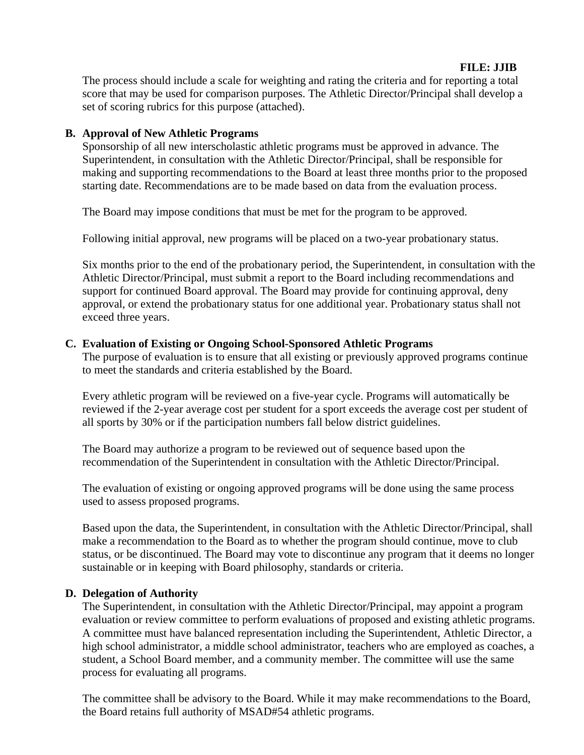#### **FILE: JJIB**

The process should include a scale for weighting and rating the criteria and for reporting a total score that may be used for comparison purposes. The Athletic Director/Principal shall develop a set of scoring rubrics for this purpose (attached).

#### **B. Approval of New Athletic Programs**

Sponsorship of all new interscholastic athletic programs must be approved in advance. The Superintendent, in consultation with the Athletic Director/Principal, shall be responsible for making and supporting recommendations to the Board at least three months prior to the proposed starting date. Recommendations are to be made based on data from the evaluation process.

The Board may impose conditions that must be met for the program to be approved.

Following initial approval, new programs will be placed on a two-year probationary status.

Six months prior to the end of the probationary period, the Superintendent, in consultation with the Athletic Director/Principal, must submit a report to the Board including recommendations and support for continued Board approval. The Board may provide for continuing approval, deny approval, or extend the probationary status for one additional year. Probationary status shall not exceed three years.

#### **C. Evaluation of Existing or Ongoing School-Sponsored Athletic Programs**

The purpose of evaluation is to ensure that all existing or previously approved programs continue to meet the standards and criteria established by the Board.

Every athletic program will be reviewed on a five-year cycle. Programs will automatically be reviewed if the 2-year average cost per student for a sport exceeds the average cost per student of all sports by 30% or if the participation numbers fall below district guidelines.

The Board may authorize a program to be reviewed out of sequence based upon the recommendation of the Superintendent in consultation with the Athletic Director/Principal.

The evaluation of existing or ongoing approved programs will be done using the same process used to assess proposed programs.

Based upon the data, the Superintendent, in consultation with the Athletic Director/Principal, shall make a recommendation to the Board as to whether the program should continue, move to club status, or be discontinued. The Board may vote to discontinue any program that it deems no longer sustainable or in keeping with Board philosophy, standards or criteria.

#### **D. Delegation of Authority**

The Superintendent, in consultation with the Athletic Director/Principal, may appoint a program evaluation or review committee to perform evaluations of proposed and existing athletic programs. A committee must have balanced representation including the Superintendent, Athletic Director, a high school administrator, a middle school administrator, teachers who are employed as coaches, a student, a School Board member, and a community member. The committee will use the same process for evaluating all programs.

The committee shall be advisory to the Board. While it may make recommendations to the Board, the Board retains full authority of MSAD#54 athletic programs.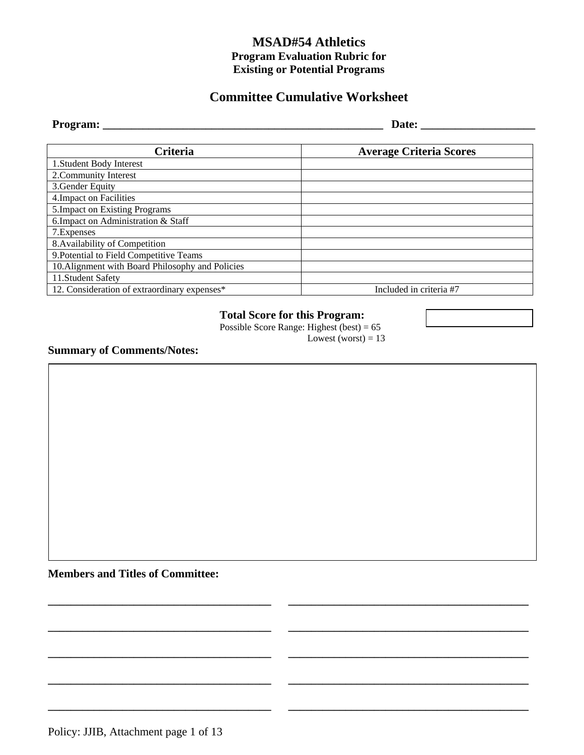# **Committee Cumulative Worksheet**

| Program:                                         | Date:                          |  |  |  |
|--------------------------------------------------|--------------------------------|--|--|--|
|                                                  |                                |  |  |  |
| <b>Criteria</b>                                  | <b>Average Criteria Scores</b> |  |  |  |
| 1. Student Body Interest                         |                                |  |  |  |
| 2. Community Interest                            |                                |  |  |  |
| 3. Gender Equity                                 |                                |  |  |  |
| 4. Impact on Facilities                          |                                |  |  |  |
| 5. Impact on Existing Programs                   |                                |  |  |  |
| 6. Impact on Administration & Staff              |                                |  |  |  |
| 7. Expenses                                      |                                |  |  |  |
| 8. Availability of Competition                   |                                |  |  |  |
| 9. Potential to Field Competitive Teams          |                                |  |  |  |
| 10. Alignment with Board Philosophy and Policies |                                |  |  |  |
| 11. Student Safety                               |                                |  |  |  |
| 12. Consideration of extraordinary expenses*     | Included in criteria #7        |  |  |  |

#### **Total Score for this Program:**

**\_\_\_\_\_\_\_\_\_\_\_\_\_\_\_\_\_\_\_\_\_\_\_\_\_\_\_\_\_\_\_\_\_\_\_\_\_\_\_ \_\_\_\_\_\_\_\_\_\_\_\_\_\_\_\_\_\_\_\_\_\_\_\_\_\_\_\_\_\_\_\_\_\_\_\_\_\_\_\_\_\_** 

**\_\_\_\_\_\_\_\_\_\_\_\_\_\_\_\_\_\_\_\_\_\_\_\_\_\_\_\_\_\_\_\_\_\_\_\_\_\_\_ \_\_\_\_\_\_\_\_\_\_\_\_\_\_\_\_\_\_\_\_\_\_\_\_\_\_\_\_\_\_\_\_\_\_\_\_\_\_\_\_\_\_** 

**\_\_\_\_\_\_\_\_\_\_\_\_\_\_\_\_\_\_\_\_\_\_\_\_\_\_\_\_\_\_\_\_\_\_\_\_\_\_\_ \_\_\_\_\_\_\_\_\_\_\_\_\_\_\_\_\_\_\_\_\_\_\_\_\_\_\_\_\_\_\_\_\_\_\_\_\_\_\_\_\_\_** 

**\_\_\_\_\_\_\_\_\_\_\_\_\_\_\_\_\_\_\_\_\_\_\_\_\_\_\_\_\_\_\_\_\_\_\_\_\_\_\_ \_\_\_\_\_\_\_\_\_\_\_\_\_\_\_\_\_\_\_\_\_\_\_\_\_\_\_\_\_\_\_\_\_\_\_\_\_\_\_\_\_\_** 

**\_\_\_\_\_\_\_\_\_\_\_\_\_\_\_\_\_\_\_\_\_\_\_\_\_\_\_\_\_\_\_\_\_\_\_\_\_\_\_ \_\_\_\_\_\_\_\_\_\_\_\_\_\_\_\_\_\_\_\_\_\_\_\_\_\_\_\_\_\_\_\_\_\_\_\_\_\_\_\_\_\_** 

Possible Score Range: Highest (best) = 65

Lowest (worst) =  $13$ 

**Summary of Comments/Notes:** 

**Members and Titles of Committee:**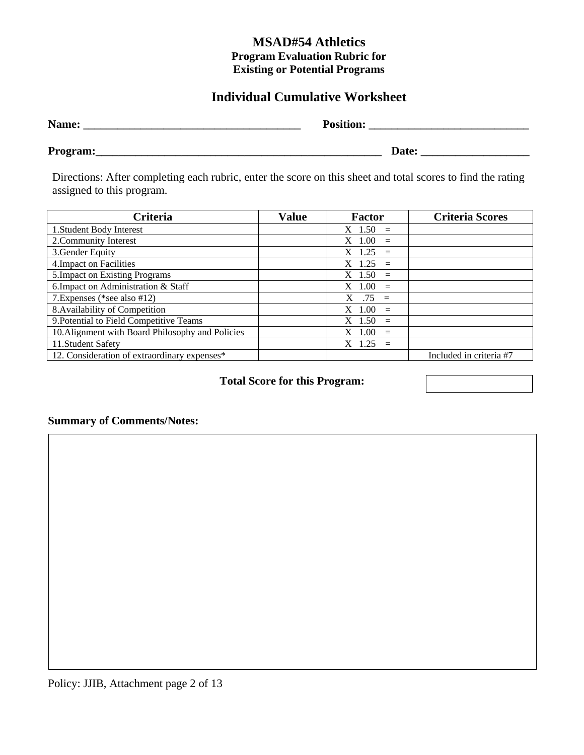# **Individual Cumulative Worksheet**

| Name:    | <b>Position:</b> |
|----------|------------------|
| Program: | Date:            |

Directions: After completing each rubric, enter the score on this sheet and total scores to find the rating assigned to this program.

| Criteria                                         | <b>Value</b> | <b>Factor</b>               | <b>Criteria Scores</b>  |
|--------------------------------------------------|--------------|-----------------------------|-------------------------|
| 1. Student Body Interest                         |              | $X \, 1.50 =$               |                         |
| 2. Community Interest                            |              | $X$ 1.00<br>$\equiv$        |                         |
| 3. Gender Equity                                 |              | $X$ 1.25<br>$=$             |                         |
| 4. Impact on Facilities                          |              | $X$ 1.25<br>$=$             |                         |
| 5. Impact on Existing Programs                   |              | $X$ 1.50<br>$=$             |                         |
| 6. Impact on Administration & Staff              |              | 1.00<br>$\mathbf{X}$<br>$=$ |                         |
| 7. Expenses (*see also #12)                      |              | $.75 =$<br>X                |                         |
| 8. Availability of Competition                   |              | 1.00<br>$\mathbf{X}$<br>$=$ |                         |
| 9. Potential to Field Competitive Teams          |              | $X$ 1.50<br>$=$             |                         |
| 10. Alignment with Board Philosophy and Policies |              | $X$ 1.00<br>$\equiv$        |                         |
| 11. Student Safety                               |              | 1.25<br>$=$                 |                         |
| 12. Consideration of extraordinary expenses*     |              |                             | Included in criteria #7 |

**Total Score for this Program:** 

# **Summary of Comments/Notes:**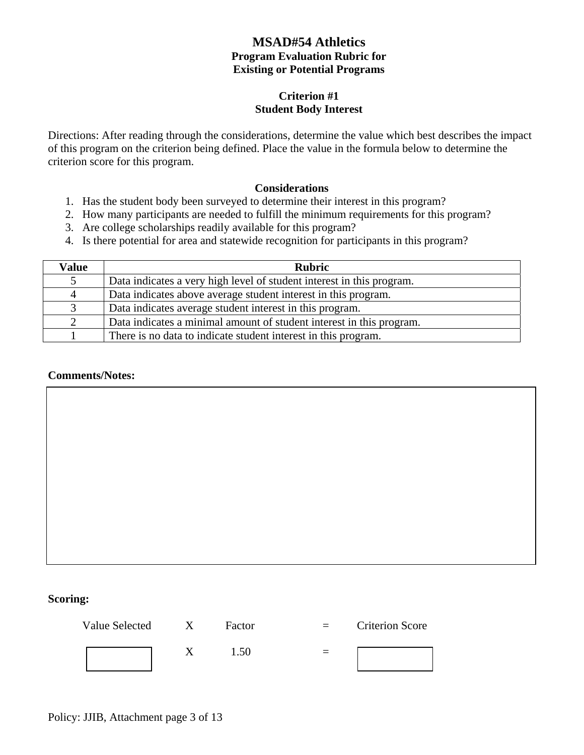#### **Criterion #1 Student Body Interest**

Directions: After reading through the considerations, determine the value which best describes the impact of this program on the criterion being defined. Place the value in the formula below to determine the criterion score for this program.

#### **Considerations**

- 1. Has the student body been surveyed to determine their interest in this program?
- 2. How many participants are needed to fulfill the minimum requirements for this program?
- 3. Are college scholarships readily available for this program?
- 4. Is there potential for area and statewide recognition for participants in this program?

| Value | <b>Rubric</b>                                                         |
|-------|-----------------------------------------------------------------------|
|       | Data indicates a very high level of student interest in this program. |
| 4     | Data indicates above average student interest in this program.        |
| 3     | Data indicates average student interest in this program.              |
| 2     | Data indicates a minimal amount of student interest in this program.  |
|       | There is no data to indicate student interest in this program.        |

#### **Comments/Notes:**

#### **Scoring:**

| Value Selected | $\mathbf{X}$ | Factor | <b>Criterion Score</b> |
|----------------|--------------|--------|------------------------|
|                |              | 1.50   |                        |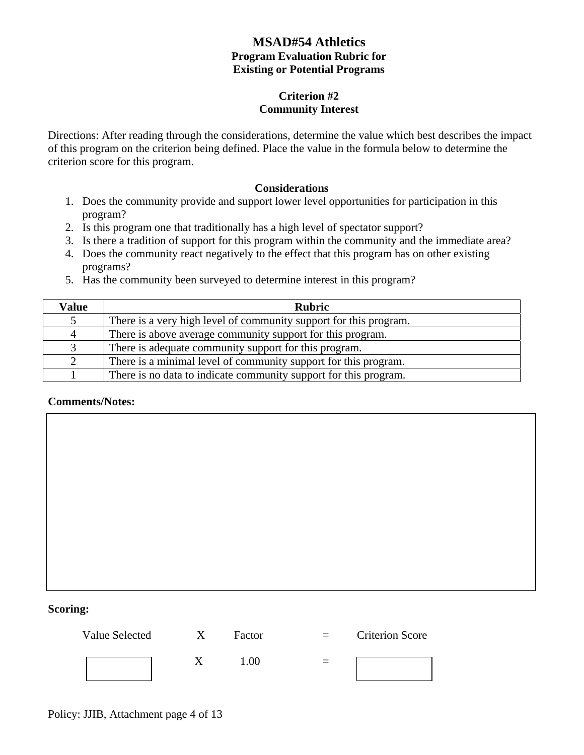#### **Criterion #2 Community Interest**

Directions: After reading through the considerations, determine the value which best describes the impact of this program on the criterion being defined. Place the value in the formula below to determine the criterion score for this program.

#### **Considerations**

- 1. Does the community provide and support lower level opportunities for participation in this program?
- 2. Is this program one that traditionally has a high level of spectator support?
- 3. Is there a tradition of support for this program within the community and the immediate area?
- 4. Does the community react negatively to the effect that this program has on other existing programs?
- 5. Has the community been surveyed to determine interest in this program?

| Value          | <b>Rubric</b>                                                     |
|----------------|-------------------------------------------------------------------|
|                | There is a very high level of community support for this program. |
| $\overline{4}$ | There is above average community support for this program.        |
| 3              | There is adequate community support for this program.             |
| 2              | There is a minimal level of community support for this program.   |
|                | There is no data to indicate community support for this program.  |

#### **Comments/Notes:**

#### **Scoring:**

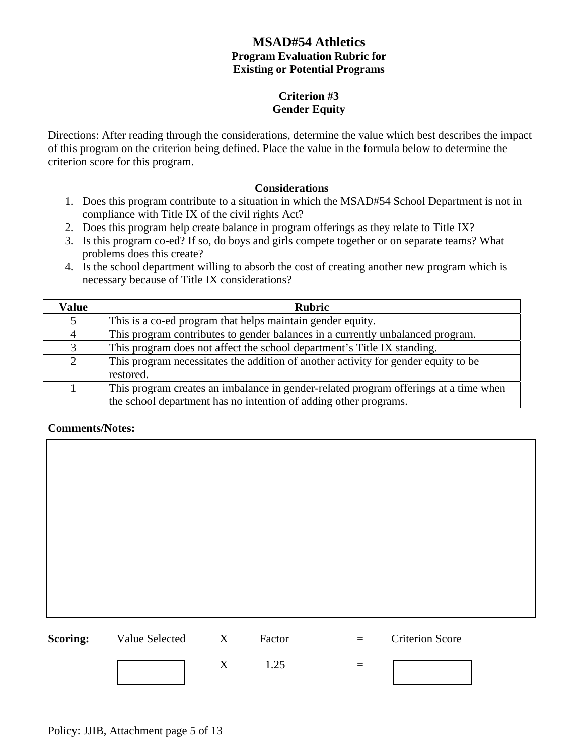#### **Criterion #3 Gender Equity**

Directions: After reading through the considerations, determine the value which best describes the impact of this program on the criterion being defined. Place the value in the formula below to determine the criterion score for this program.

#### **Considerations**

- 1. Does this program contribute to a situation in which the MSAD#54 School Department is not in compliance with Title IX of the civil rights Act?
- 2. Does this program help create balance in program offerings as they relate to Title IX?
- 3. Is this program co-ed? If so, do boys and girls compete together or on separate teams? What problems does this create?
- 4. Is the school department willing to absorb the cost of creating another new program which is necessary because of Title IX considerations?

| <b>Value</b>   | <b>Rubric</b>                                                                                   |
|----------------|-------------------------------------------------------------------------------------------------|
|                | This is a co-ed program that helps maintain gender equity.                                      |
| $\overline{4}$ | This program contributes to gender balances in a currently unbalanced program.                  |
| 3              | This program does not affect the school department's Title IX standing.                         |
| $\overline{2}$ | This program necessitates the addition of another activity for gender equity to be<br>restored. |
|                |                                                                                                 |
|                | This program creates an imbalance in gender-related program offerings at a time when            |
|                | the school department has no intention of adding other programs.                                |

| <b>Scoring:</b> Value Selected X | Factor | $=$ $-$                  | <b>Criterion Score</b> |
|----------------------------------|--------|--------------------------|------------------------|
|                                  | 1.25   | $\overline{\phantom{0}}$ |                        |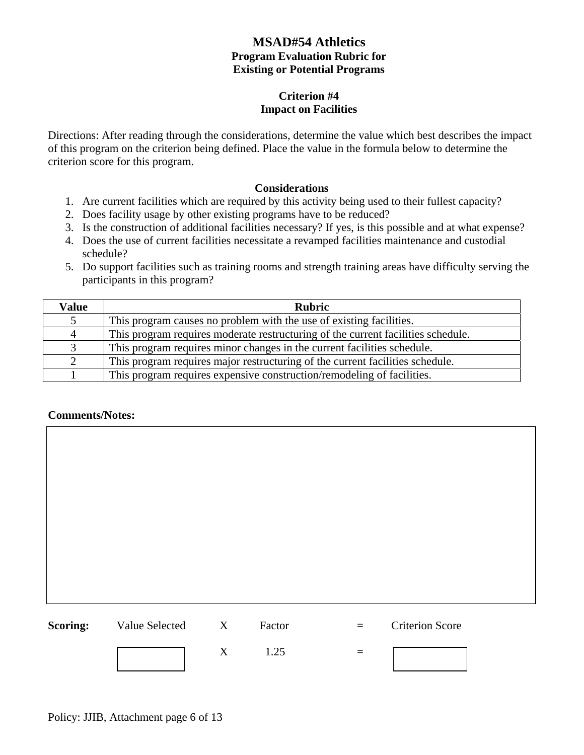#### **Criterion #4 Impact on Facilities**

Directions: After reading through the considerations, determine the value which best describes the impact of this program on the criterion being defined. Place the value in the formula below to determine the criterion score for this program.

#### **Considerations**

- 1. Are current facilities which are required by this activity being used to their fullest capacity?
- 2. Does facility usage by other existing programs have to be reduced?
- 3. Is the construction of additional facilities necessary? If yes, is this possible and at what expense?
- 4. Does the use of current facilities necessitate a revamped facilities maintenance and custodial schedule?
- 5. Do support facilities such as training rooms and strength training areas have difficulty serving the participants in this program?

| <b>Value</b> | <b>Rubric</b>                                                                    |
|--------------|----------------------------------------------------------------------------------|
| 5            | This program causes no problem with the use of existing facilities.              |
| 4            | This program requires moderate restructuring of the current facilities schedule. |
| 3            | This program requires minor changes in the current facilities schedule.          |
| 2            | This program requires major restructuring of the current facilities schedule.    |
|              | This program requires expensive construction/remodeling of facilities.           |

#### **Comments/Notes:**

| <b>Scoring:</b> | Value Selected X | Factor | $=$ | <b>Criterion Score</b> |
|-----------------|------------------|--------|-----|------------------------|

 $X = 1.25 =$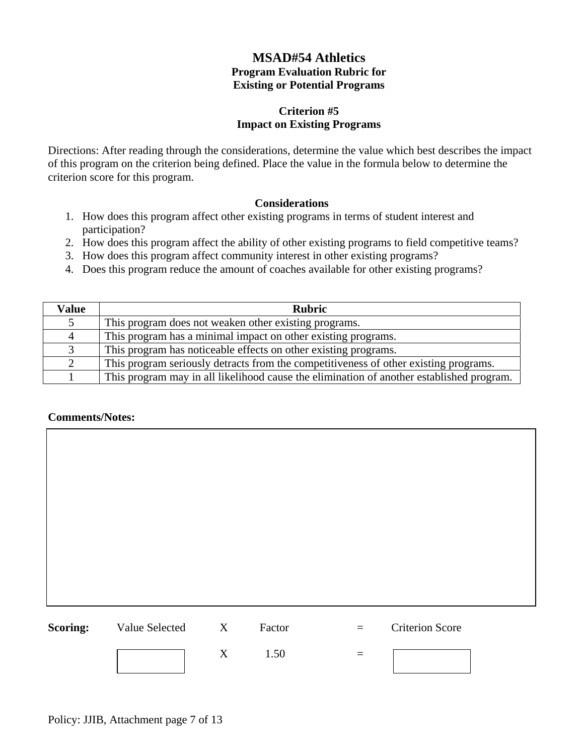#### **Criterion #5 Impact on Existing Programs**

Directions: After reading through the considerations, determine the value which best describes the impact of this program on the criterion being defined. Place the value in the formula below to determine the criterion score for this program.

#### **Considerations**

- 1. How does this program affect other existing programs in terms of student interest and participation?
- 2. How does this program affect the ability of other existing programs to field competitive teams?
- 3. How does this program affect community interest in other existing programs?
- 4. Does this program reduce the amount of coaches available for other existing programs?

| <b>Value</b> | <b>Rubric</b>                                                                            |
|--------------|------------------------------------------------------------------------------------------|
| 5            | This program does not weaken other existing programs.                                    |
| 4            | This program has a minimal impact on other existing programs.                            |
| 3            | This program has noticeable effects on other existing programs.                          |
| 2            | This program seriously detracts from the competitiveness of other existing programs.     |
|              | This program may in all likelihood cause the elimination of another established program. |

| <b>Scoring:</b> | Value Selected | X | Factor | $=$      | <b>Criterion Score</b> |  |
|-----------------|----------------|---|--------|----------|------------------------|--|
|                 |                | X | 1.50   | $\equiv$ |                        |  |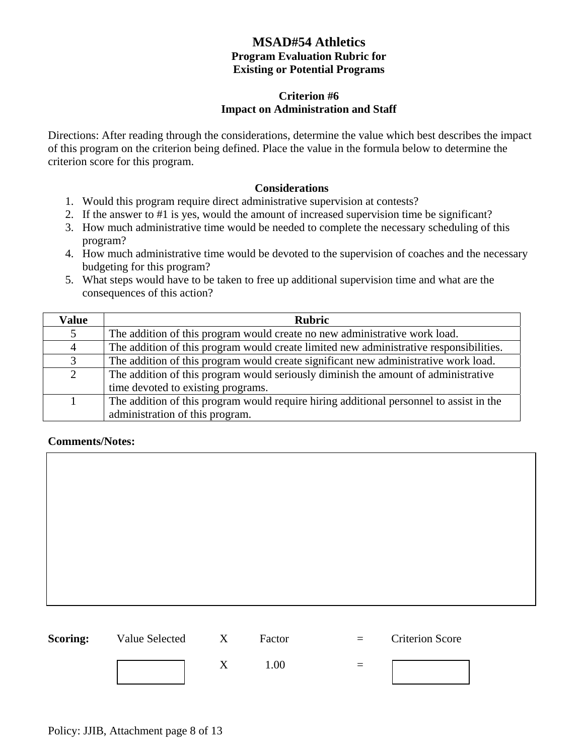#### **Criterion #6 Impact on Administration and Staff**

Directions: After reading through the considerations, determine the value which best describes the impact of this program on the criterion being defined. Place the value in the formula below to determine the criterion score for this program.

#### **Considerations**

- 1. Would this program require direct administrative supervision at contests?
- 2. If the answer to #1 is yes, would the amount of increased supervision time be significant?
- 3. How much administrative time would be needed to complete the necessary scheduling of this program?
- 4. How much administrative time would be devoted to the supervision of coaches and the necessary budgeting for this program?
- 5. What steps would have to be taken to free up additional supervision time and what are the consequences of this action?

| <b>Value</b>   | <b>Rubric</b>                                                                           |
|----------------|-----------------------------------------------------------------------------------------|
| 5              | The addition of this program would create no new administrative work load.              |
| $\overline{4}$ | The addition of this program would create limited new administrative responsibilities.  |
| 3              | The addition of this program would create significant new administrative work load.     |
| $\overline{2}$ | The addition of this program would seriously diminish the amount of administrative      |
|                | time devoted to existing programs.                                                      |
|                | The addition of this program would require hiring additional personnel to assist in the |
|                | administration of this program.                                                         |

| <b>Scoring:</b> Value Selected X | Factor | $=$ $-$ | <b>Criterion Score</b> |
|----------------------------------|--------|---------|------------------------|
|                                  | 1.00   |         |                        |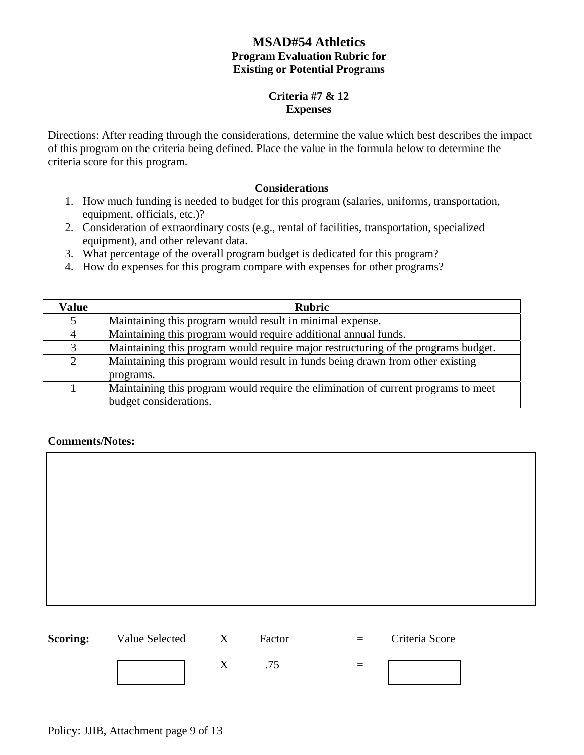#### **Criteria #7 & 12 Expenses**

Directions: After reading through the considerations, determine the value which best describes the impact of this program on the criteria being defined. Place the value in the formula below to determine the criteria score for this program.

#### **Considerations**

- 1. How much funding is needed to budget for this program (salaries, uniforms, transportation, equipment, officials, etc.)?
- 2. Consideration of extraordinary costs (e.g., rental of facilities, transportation, specialized equipment), and other relevant data.
- 3. What percentage of the overall program budget is dedicated for this program?
- 4. How do expenses for this program compare with expenses for other programs?

| <b>Value</b> | <b>Rubric</b>                                                                      |
|--------------|------------------------------------------------------------------------------------|
| 5            | Maintaining this program would result in minimal expense.                          |
| 4            | Maintaining this program would require additional annual funds.                    |
| 3            | Maintaining this program would require major restructuring of the programs budget. |
| 2            | Maintaining this program would result in funds being drawn from other existing     |
|              | programs.                                                                          |
|              | Maintaining this program would require the elimination of current programs to meet |
|              | budget considerations.                                                             |

#### **Comments/Notes:**

Policy: JJIB, Attachment page 9 of 13

| <b>Scoring:</b> | Value Selected | X | Factor | $\equiv$ | Criteria Score |  |
|-----------------|----------------|---|--------|----------|----------------|--|

 $X \qquad .75 =$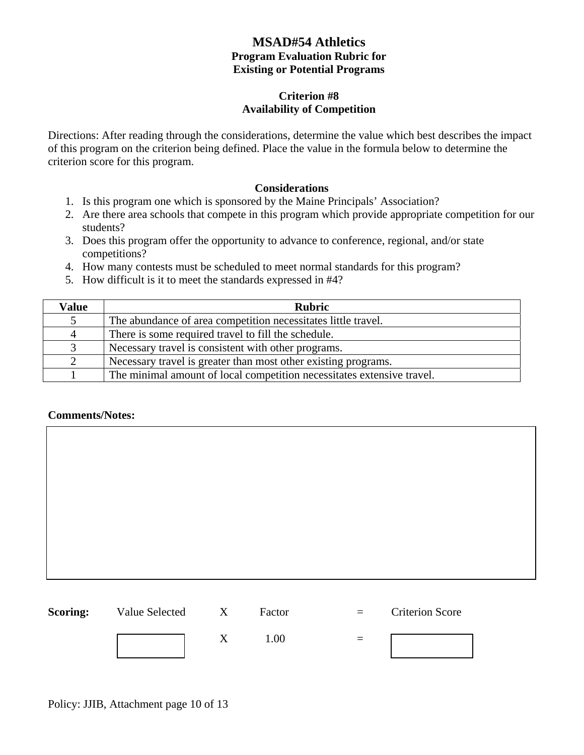#### **Criterion #8 Availability of Competition**

Directions: After reading through the considerations, determine the value which best describes the impact of this program on the criterion being defined. Place the value in the formula below to determine the criterion score for this program.

#### **Considerations**

- 1. Is this program one which is sponsored by the Maine Principals' Association?
- 2. Are there area schools that compete in this program which provide appropriate competition for our students?
- 3. Does this program offer the opportunity to advance to conference, regional, and/or state competitions?
- 4. How many contests must be scheduled to meet normal standards for this program?
- 5. How difficult is it to meet the standards expressed in #4?

| Value | <b>Rubric</b>                                                          |
|-------|------------------------------------------------------------------------|
|       | The abundance of area competition necessitates little travel.          |
| 4     | There is some required travel to fill the schedule.                    |
|       | Necessary travel is consistent with other programs.                    |
| 2     | Necessary travel is greater than most other existing programs.         |
|       | The minimal amount of local competition necessitates extensive travel. |

| <b>Scoring:</b> Value Selected | $\mathbf{X}$ | Factor | $\equiv$ $\equiv$               | <b>Criterion Score</b> |
|--------------------------------|--------------|--------|---------------------------------|------------------------|
|                                |              | 1.00   | $\hspace{0.1mm}-\hspace{0.1mm}$ |                        |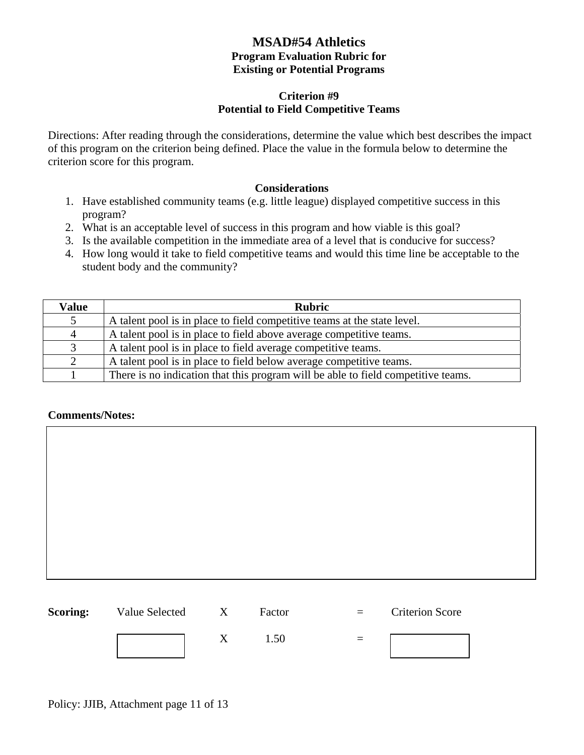#### **Criterion #9 Potential to Field Competitive Teams**

Directions: After reading through the considerations, determine the value which best describes the impact of this program on the criterion being defined. Place the value in the formula below to determine the criterion score for this program.

#### **Considerations**

- 1. Have established community teams (e.g. little league) displayed competitive success in this program?
- 2. What is an acceptable level of success in this program and how viable is this goal?
- 3. Is the available competition in the immediate area of a level that is conducive for success?
- 4. How long would it take to field competitive teams and would this time line be acceptable to the student body and the community?

| Value          | <b>Rubric</b>                                                                     |
|----------------|-----------------------------------------------------------------------------------|
| 5              | A talent pool is in place to field competitive teams at the state level.          |
| $\overline{4}$ | A talent pool is in place to field above average competitive teams.               |
| 3              | A talent pool is in place to field average competitive teams.                     |
| $\overline{2}$ | A talent pool is in place to field below average competitive teams.               |
|                | There is no indication that this program will be able to field competitive teams. |

| <b>Scoring:</b> Value Selected X |    | Factor | $=$ | <b>Criterion Score</b> |
|----------------------------------|----|--------|-----|------------------------|
|                                  | X. | 1.50   | $=$ |                        |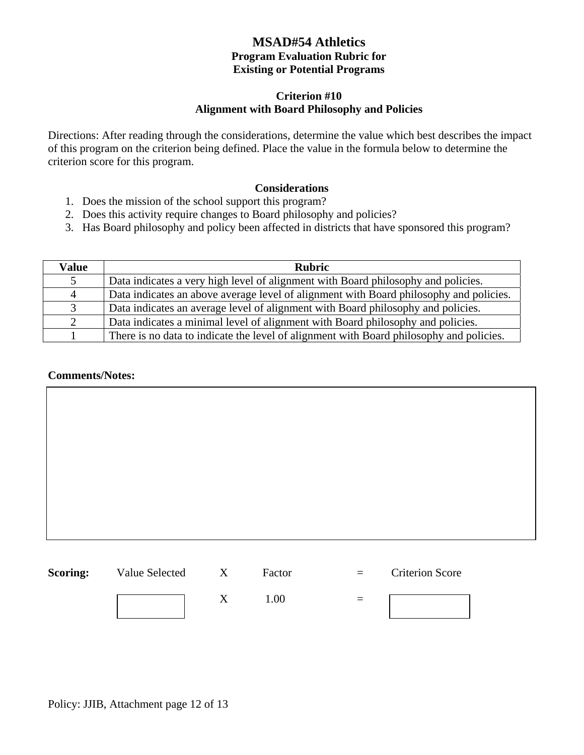#### **Criterion #10 Alignment with Board Philosophy and Policies**

Directions: After reading through the considerations, determine the value which best describes the impact of this program on the criterion being defined. Place the value in the formula below to determine the criterion score for this program.

#### **Considerations**

- 1. Does the mission of the school support this program?
- 2. Does this activity require changes to Board philosophy and policies?
- 3. Has Board philosophy and policy been affected in districts that have sponsored this program?

| Value | <b>Rubric</b>                                                                           |
|-------|-----------------------------------------------------------------------------------------|
| 5     | Data indicates a very high level of alignment with Board philosophy and policies.       |
| 4     | Data indicates an above average level of alignment with Board philosophy and policies.  |
| 3     | Data indicates an average level of alignment with Board philosophy and policies.        |
| 2     | Data indicates a minimal level of alignment with Board philosophy and policies.         |
|       | There is no data to indicate the level of alignment with Board philosophy and policies. |

#### **Comments/Notes:**



**Scoring:** Value Selected X Factor = Criterion Score

 $X = 1.00 =$